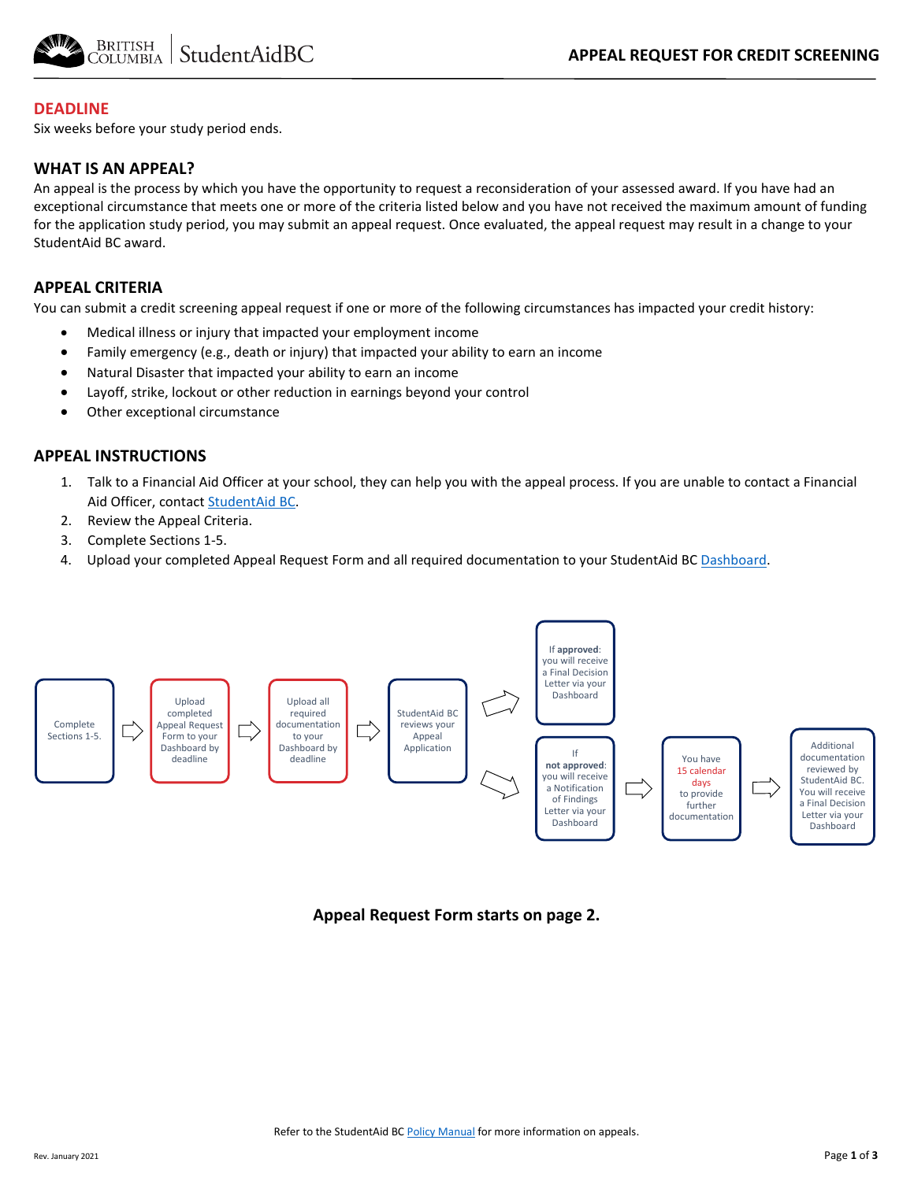

#### **DEADLINE**

Six weeks before your study period ends.

#### **WHAT IS AN APPEAL?**

An appeal is the process by which you have the opportunity to request a reconsideration of your assessed award. If you have had an exceptional circumstance that meets one or more of the criteria listed below and you have not received the maximum amount of funding for the application study period, you may submit an appeal request. Once evaluated, the appeal request may result in a change to your StudentAid BC award.

### **APPEAL CRITERIA**

You can submit a credit screening appeal request if one or more of the following circumstances has impacted your credit history:

- Medical illness or injury that impacted your employment income
- Family emergency (e.g., death or injury) that impacted your ability to earn an income
- Natural Disaster that impacted your ability to earn an income
- Layoff, strike, lockout or other reduction in earnings beyond your control
- Other exceptional circumstance

#### **APPEAL INSTRUCTIONS**

- 1. Talk to a Financial Aid Officer at your school, they can help you with the appeal process. If you are unable to contact a Financial Aid Officer, contac[t StudentAid BC.](https://studentaidbc.ca/contact-information)
- 2. Review the Appeal Criteria.
- 3. Complete Sections 1-5.
- 4. Upload your completed Appeal Request Form and all required documentation to your StudentAid BC [Dashboard.](https://studentaidbc.ca/dashboard)



**Appeal Request Form starts on page 2.**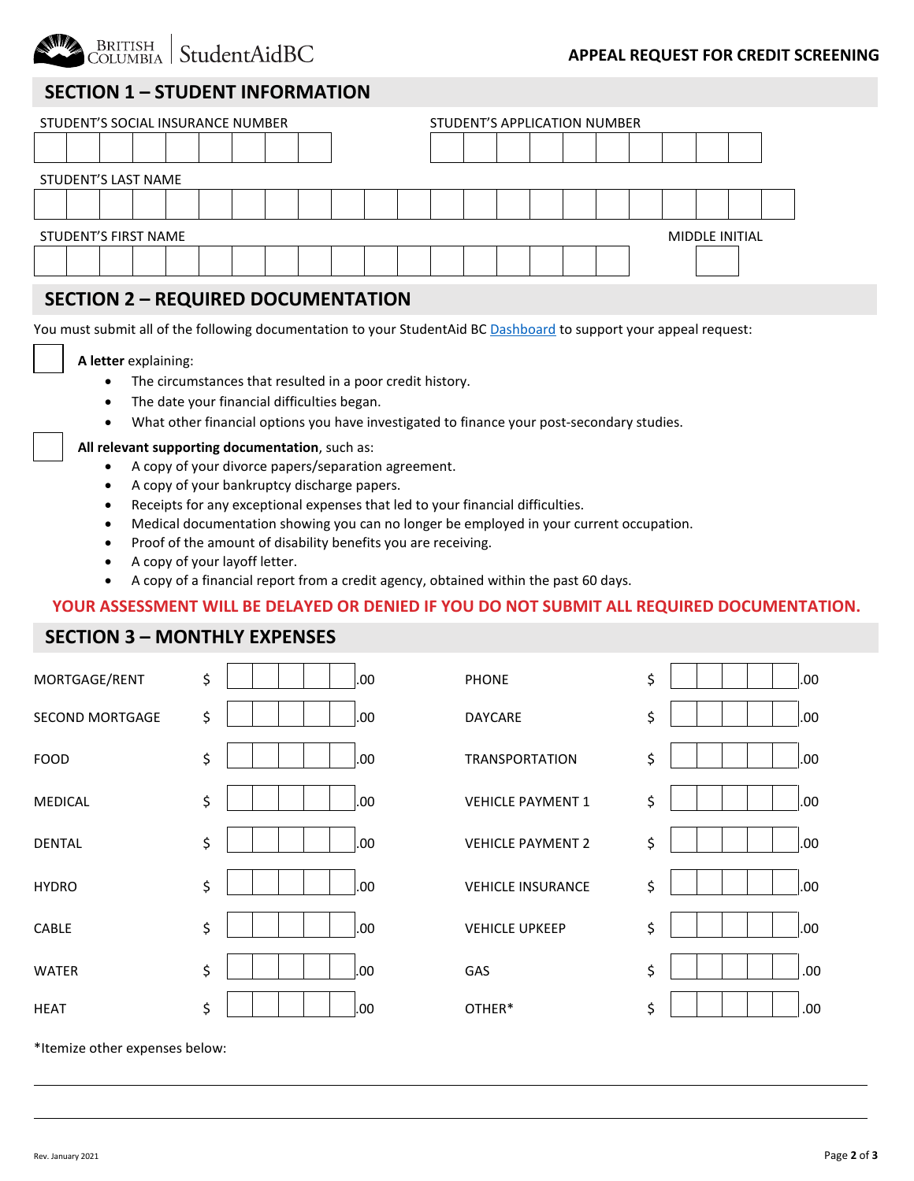

#### **APPEAL REQUEST FOR CREDIT SCREENING**

## **SECTION 1 – STUDENT INFORMATION**

| STUDENT'S SOCIAL INSURANCE NUMBER |                      |  |  |  |  |  |  |  |  |  | STUDENT'S APPLICATION NUMBER |  |  |  |  |  |                |  |  |  |  |  |
|-----------------------------------|----------------------|--|--|--|--|--|--|--|--|--|------------------------------|--|--|--|--|--|----------------|--|--|--|--|--|
|                                   |                      |  |  |  |  |  |  |  |  |  |                              |  |  |  |  |  |                |  |  |  |  |  |
|                                   | STUDENT'S LAST NAME  |  |  |  |  |  |  |  |  |  |                              |  |  |  |  |  |                |  |  |  |  |  |
|                                   |                      |  |  |  |  |  |  |  |  |  |                              |  |  |  |  |  |                |  |  |  |  |  |
|                                   | STUDENT'S FIRST NAME |  |  |  |  |  |  |  |  |  |                              |  |  |  |  |  | MIDDLE INITIAL |  |  |  |  |  |
|                                   |                      |  |  |  |  |  |  |  |  |  |                              |  |  |  |  |  |                |  |  |  |  |  |
|                                   |                      |  |  |  |  |  |  |  |  |  |                              |  |  |  |  |  |                |  |  |  |  |  |

## **SECTION 2 – REQUIRED DOCUMENTATION**

You must submit all of the following documentation to your StudentAid BC [Dashboard](https://studentaidbc.ca/dashboard) to support your appeal request:

#### **A letter** explaining:

- The circumstances that resulted in a poor credit history.
- The date your financial difficulties began.
- What other financial options you have investigated to finance your post-secondary studies.

#### **All relevant supporting documentation**, such as:

- A copy of your divorce papers/separation agreement.
- A copy of your bankruptcy discharge papers.
- Receipts for any exceptional expenses that led to your financial difficulties.
- Medical documentation showing you can no longer be employed in your current occupation.
- Proof of the amount of disability benefits you are receiving.
- A copy of your layoff letter.
- A copy of a financial report from a credit agency, obtained within the past 60 days.

#### **YOUR ASSESSMENT WILL BE DELAYED OR DENIED IF YOU DO NOT SUBMIT ALL REQUIRED DOCUMENTATION.**

### **SECTION 3 – MONTHLY EXPENSES**

| MORTGAGE/RENT          | \$<br>.00. | <b>PHONE</b>             | \$<br>.00 |
|------------------------|------------|--------------------------|-----------|
| <b>SECOND MORTGAGE</b> | \$<br>.00. | DAYCARE                  | \$<br>.00 |
| <b>FOOD</b>            | \$<br>.00. | <b>TRANSPORTATION</b>    | \$<br>.00 |
| <b>MEDICAL</b>         | \$<br>.00. | <b>VEHICLE PAYMENT 1</b> | \$<br>.00 |
| <b>DENTAL</b>          | \$<br>.00. | <b>VEHICLE PAYMENT 2</b> | \$<br>.00 |
| <b>HYDRO</b>           | \$<br>.00. | <b>VEHICLE INSURANCE</b> | \$<br>.00 |
| CABLE                  | \$<br>.00  | <b>VEHICLE UPKEEP</b>    | \$<br>.00 |
| <b>WATER</b>           | \$<br>.00  | GAS                      | \$<br>.00 |
| <b>HEAT</b>            | \$<br>.00. | OTHER*                   | \$<br>.00 |
|                        |            |                          |           |

\*Itemize other expenses below: